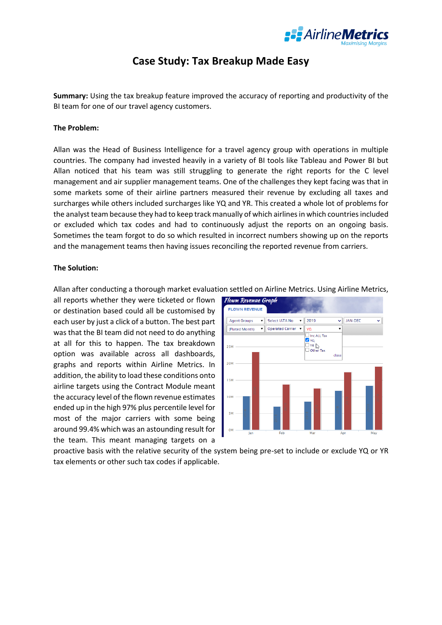

## **Case Study: Tax Breakup Made Easy**

**Summary:** Using the tax breakup feature improved the accuracy of reporting and productivity of the BI team for one of our travel agency customers.

## **The Problem:**

Allan was the Head of Business Intelligence for a travel agency group with operations in multiple countries. The company had invested heavily in a variety of BI tools like Tableau and Power BI but Allan noticed that his team was still struggling to generate the right reports for the C level management and air supplier management teams. One of the challenges they kept facing was that in some markets some of their airline partners measured their revenue by excluding all taxes and surcharges while others included surcharges like YQ and YR. This created a whole lot of problems for the analyst team because they had to keep track manually of which airlines in which countries included or excluded which tax codes and had to continuously adjust the reports on an ongoing basis. Sometimes the team forgot to do so which resulted in incorrect numbers showing up on the reports and the management teams then having issues reconciling the reported revenue from carriers.

## **The Solution:**

Allan after conducting a thorough market evaluation settled on Airline Metrics. Using Airline Metrics,

all reports whether they were ticketed or flown or destination based could all be customised by each user by just a click of a button. The best part was that the BI team did not need to do anything at all for this to happen. The tax breakdown option was available across all dashboards, graphs and reports within Airline Metrics. In addition, the ability to load these conditions onto airline targets using the Contract Module meant the accuracy level of the flown revenue estimates ended up in the high 97% plus percentile level for most of the major carriers with some being around 99.4% which was an astounding result for the team. This meant managing targets on a



proactive basis with the relative security of the system being pre-set to include or exclude YQ or YR tax elements or other such tax codes if applicable.